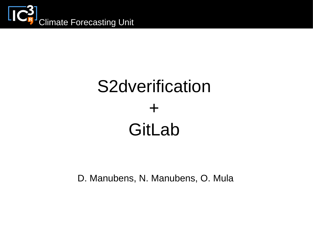

# S2dverification + GitLab

D. Manubens, N. Manubens, O. Mula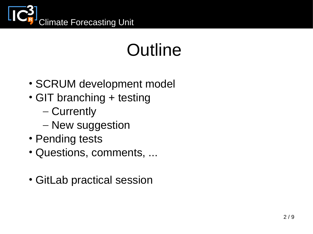

# Outline

- SCRUM development model
- GIT branching + testing
	- Currently
	- New suggestion
- Pending tests
- Questions, comments, ...
- GitLab practical session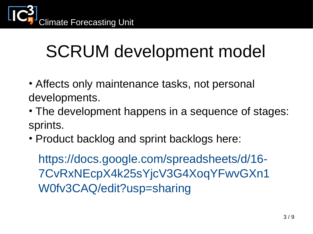

#### SCRUM development model

- Affects only maintenance tasks, not personal developments.
- The development happens in a sequence of stages: sprints.
- Product backlog and sprint backlogs here:

https://docs.google.com/spreadsheets/d/16- 7CvRxNEcpX4k25sYjcV3G4XoqYFwvGXn1 W0fv3CAQ/edit?usp=sharing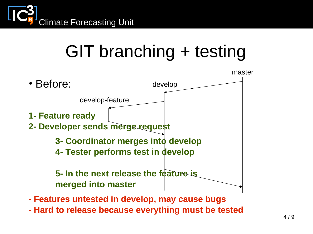

**- Hard to release because everything must be tested**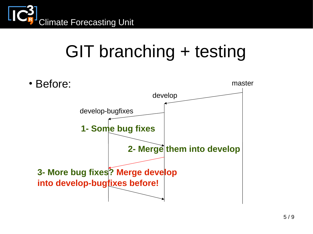

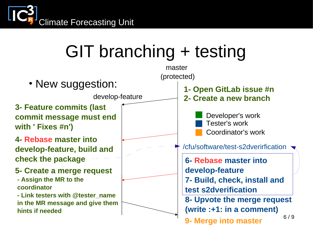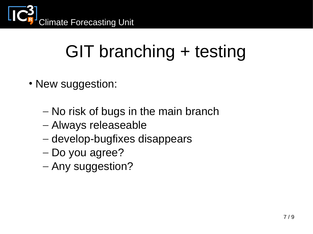

- New suggestion:
	- No risk of bugs in the main branch
	- Always releaseable
	- develop-bugfixes disappears
	- Do you agree?
	- Any suggestion?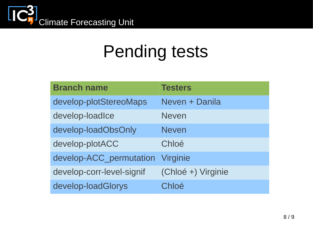

#### Pending tests

| <b>Branch name</b>        | <b>Testers</b>     |
|---------------------------|--------------------|
| develop-plotStereoMaps    | Neven + Danila     |
| develop-loadIce           | <b>Neven</b>       |
| develop-loadObsOnly       | <b>Neven</b>       |
| develop-plotACC           | Chloé              |
| develop-ACC permutation   | <b>Virginie</b>    |
| develop-corr-level-signif | (Chloé +) Virginie |
| develop-loadGlorys        | Chloé              |